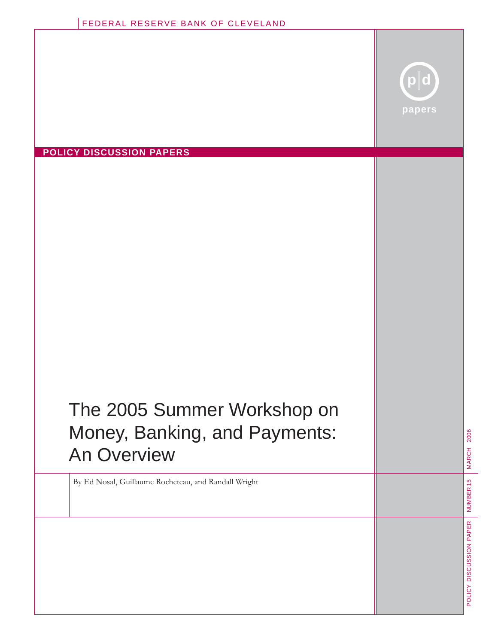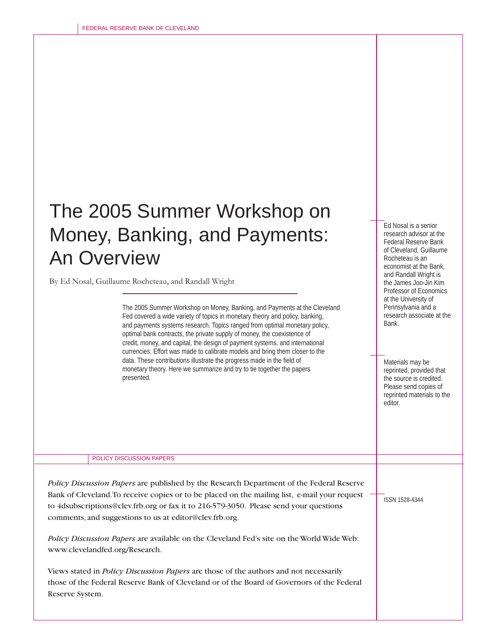# The 2005 Summer Workshop on Money, Banking, and Payments: An Overview

By Ed Nosal, Guillaume Rocheteau, and Randall Wright

The 2005 Summer Workshop on Money, Banking, and Payments at the Cleveland Fed covered a wide variety of topics in monetary theory and policy, banking, and payments systems research. Topics ranged from optimal monetary policy, optimal bank contracts, the private supply of money, the coexistence of credit, money, and capital, the design of payment systems, and international currencies. Effort was made to calibrate models and bring them closer to the data. These contributions illustrate the progress made in the field of monetary theory. Here we summarize and try to tie together the papers presented.

POLICY DISCUSSION PAPERS

*Policy Discussion Papers* are published by the Research Department of the Federal Reserve Bank of Cleveland. To receive copies or to be placed on the mailing list, e-mail your request to 4dsubscriptions@clev.frb.org or fax it to 216-579-3050. Please send your questions comments, and suggestions to us at editor@clev.frb.org.

*Policy Discussion Papers* are available on the Cleveland Fed's site on the World Wide Web: www.clevelandfed.org/Research.

Views stated in *Policy Discussion Papers* are those of the authors and not necessarily those of the Federal Reserve Bank of Cleveland or of the Board of Governors of the Federal Reserve System.

ISSN 1528-4344

Materials may be reprinted, provided that the source is credited. Please send copies of reprinted materials to the

Ed Nosal is a senior research advisor at the Federal Reserve Bank of Cleveland, Guillaume Rocheteau is an economist at the Bank, and Randall Wright is the James Joo-Jin Kim Professor of Economics at the University of Pennsylvania and a research associate at the

editor.

Bank.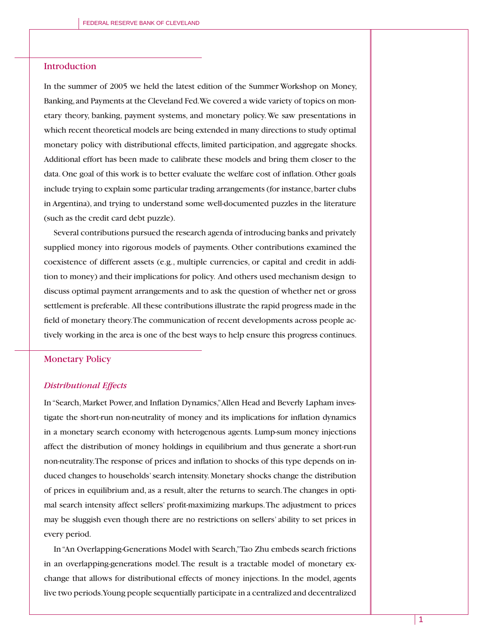# Introduction

In the summer of 2005 we held the latest edition of the Summer Workshop on Money, Banking, and Payments at the Cleveland Fed. We covered a wide variety of topics on monetary theory, banking, payment systems, and monetary policy. We saw presentations in which recent theoretical models are being extended in many directions to study optimal monetary policy with distributional effects, limited participation, and aggregate shocks. Additional effort has been made to calibrate these models and bring them closer to the data. One goal of this work is to better evaluate the welfare cost of inflation. Other goals include trying to explain some particular trading arrangements (for instance, barter clubs in Argentina), and trying to understand some well-documented puzzles in the literature (such as the credit card debt puzzle).

Several contributions pursued the research agenda of introducing banks and privately supplied money into rigorous models of payments. Other contributions examined the coexistence of different assets (e.g., multiple currencies, or capital and credit in addition to money) and their implications for policy. And others used mechanism design to discuss optimal payment arrangements and to ask the question of whether net or gross settlement is preferable. All these contributions illustrate the rapid progress made in the field of monetary theory. The communication of recent developments across people actively working in the area is one of the best ways to help ensure this progress continues.

## Monetary Policy

#### *Distributional Effects*

In "Search, Market Power, and Inflation Dynamics," Allen Head and Beverly Lapham investigate the short-run non-neutrality of money and its implications for inflation dynamics in a monetary search economy with heterogenous agents. Lump-sum money injections affect the distribution of money holdings in equilibrium and thus generate a short-run non-neutrality. The response of prices and inflation to shocks of this type depends on induced changes to households' search intensity. Monetary shocks change the distribution of prices in equilibrium and, as a result, alter the returns to search. The changes in optimal search intensity affect sellers' profit-maximizing markups. The adjustment to prices may be sluggish even though there are no restrictions on sellers' ability to set prices in every period.

In "An Overlapping-Generations Model with Search," Tao Zhu embeds search frictions in an overlapping-generations model. The result is a tractable model of monetary exchange that allows for distributional effects of money injections. In the model, agents live two periods. Young people sequentially participate in a centralized and decentralized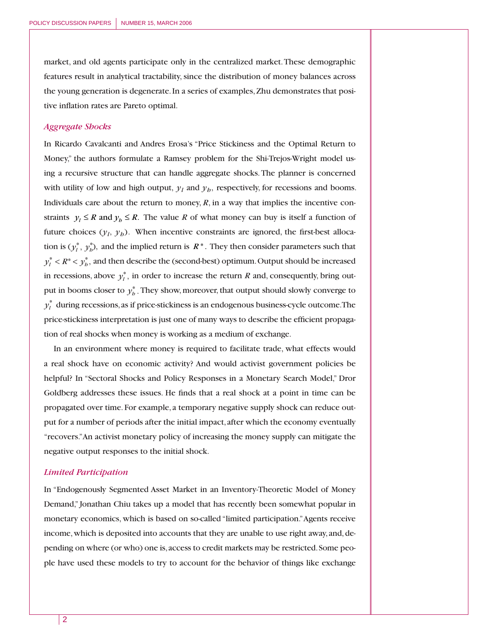market, and old agents participate only in the centralized market. These demographic features result in analytical tractability, since the distribution of money balances across the young generation is degenerate. In a series of examples, Zhu demonstrates that positive inflation rates are Pareto optimal.

### *Aggregate Shocks*

In Ricardo Cavalcanti and Andres Erosa's "Price Stickiness and the Optimal Return to Money," the authors formulate a Ramsey problem for the Shi-Trejos-Wright model using a recursive structure that can handle aggregate shocks. The planner is concerned with utility of low and high output,  $y_l$  and  $y_h$ , respectively, for recessions and booms. Individuals care about the return to money,  $R$ , in a way that implies the incentive constraints  $y_i \leq R$  and  $y_i \leq R$ . The value R of what money can buy is itself a function of future choices  $(y_l, y_b)$ . When incentive constraints are ignored, the first-best allocation is  $(y_l^*, y_b^*)$ , and the implied return is  $R^*$ . They then consider parameters such that  $y_l^* < R^* < y_b^*$ , and then describe the (second-best) optimum. Output should be increased in recessions, above  $y_l^*$ , in order to increase the return *R* and, consequently, bring output in booms closer to  $y_h^*$  . They show, moreover, that output should slowly converge to  $y_l^*$  during recessions, as if price-stickiness is an endogenous business-cycle outcome. The price-stickiness interpretation is just one of many ways to describe the efficient propagation of real shocks when money is working as a medium of exchange.

In an environment where money is required to facilitate trade, what effects would a real shock have on economic activity? And would activist government policies be helpful? In "Sectoral Shocks and Policy Responses in a Monetary Search Model," Dror Goldberg addresses these issues. He finds that a real shock at a point in time can be propagated over time. For example, a temporary negative supply shock can reduce output for a number of periods after the initial impact, after which the economy eventually "recovers." An activist monetary policy of increasing the money supply can mitigate the negative output responses to the initial shock.

#### *Limited Participation*

In "Endogenously Segmented Asset Market in an Inventory-Theoretic Model of Money Demand," Jonathan Chiu takes up a model that has recently been somewhat popular in monetary economics, which is based on so-called "limited participation." Agents receive income, which is deposited into accounts that they are unable to use right away, and, depending on where (or who) one is, access to credit markets may be restricted. Some people have used these models to try to account for the behavior of things like exchange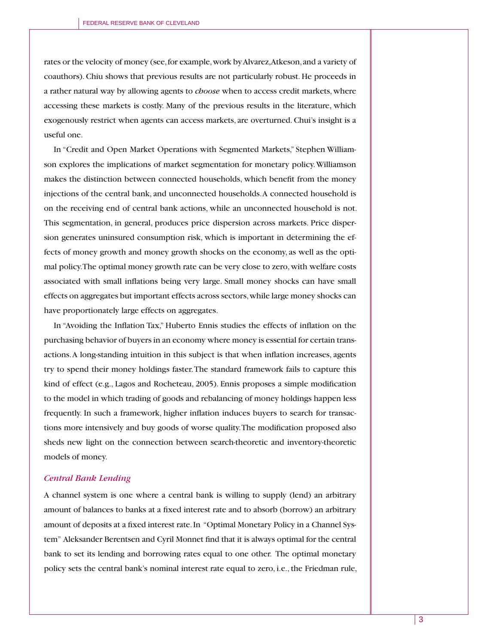rates or the velocity of money (see, for example, work by Alvarez, Atkeson, and a variety of coauthors). Chiu shows that previous results are not particularly robust. He proceeds in a rather natural way by allowing agents to *choose* when to access credit markets, where accessing these markets is costly. Many of the previous results in the literature, which exogenously restrict when agents can access markets, are overturned. Chui's insight is a useful one.

In "Credit and Open Market Operations with Segmented Markets," Stephen Williamson explores the implications of market segmentation for monetary policy. Williamson makes the distinction between connected households, which benefit from the money injections of the central bank, and unconnected households. A connected household is on the receiving end of central bank actions, while an unconnected household is not. This segmentation, in general, produces price dispersion across markets. Price dispersion generates uninsured consumption risk, which is important in determining the effects of money growth and money growth shocks on the economy, as well as the optimal policy. The optimal money growth rate can be very close to zero, with welfare costs associated with small inflations being very large. Small money shocks can have small effects on aggregates but important effects across sectors, while large money shocks can have proportionately large effects on aggregates.

In "Avoiding the Inflation Tax," Huberto Ennis studies the effects of inflation on the purchasing behavior of buyers in an economy where money is essential for certain transactions. A long-standing intuition in this subject is that when inflation increases, agents try to spend their money holdings faster. The standard framework fails to capture this kind of effect (e.g., Lagos and Rocheteau, 2005). Ennis proposes a simple modification to the model in which trading of goods and rebalancing of money holdings happen less frequently. In such a framework, higher inflation induces buyers to search for transactions more intensively and buy goods of worse quality. The modification proposed also sheds new light on the connection between search-theoretic and inventory-theoretic models of money.

## *Central Bank Lending*

A channel system is one where a central bank is willing to supply (lend) an arbitrary amount of balances to banks at a fixed interest rate and to absorb (borrow) an arbitrary amount of deposits at a fixed interest rate. In "Optimal Monetary Policy in a Channel System" Aleksander Berentsen and Cyril Monnet find that it is always optimal for the central bank to set its lending and borrowing rates equal to one other. The optimal monetary policy sets the central bank's nominal interest rate equal to zero, i.e., the Friedman rule,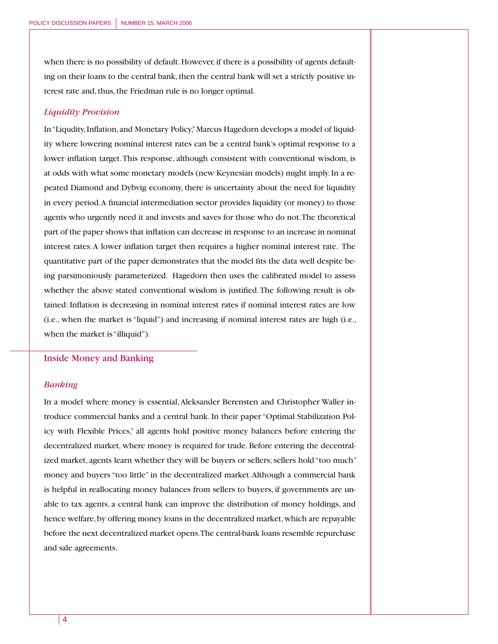when there is no possibility of default. However, if there is a possibility of agents defaulting on their loans to the central bank, then the central bank will set a strictly positive interest rate and, thus, the Friedman rule is no longer optimal.

### *Liquidity Provision*

In "Liqudity, Inflation, and Monetary Policy," Marcus Hagedorn develops a model of liquidity where lowering nominal interest rates can be a central bank's optimal response to a lower inflation target. This response, although consistent with conventional wisdom, is at odds with what some monetary models (new Keynesian models) might imply. In a repeated Diamond and Dybvig economy, there is uncertainty about the need for liquidity in every period. A financial intermediation sector provides liquidity (or money) to those agents who urgently need it and invests and saves for those who do not. The theoretical part of the paper shows that inflation can decrease in response to an increase in nominal interest rates. A lower inflation target then requires a higher nominal interest rate. The quantitative part of the paper demonstrates that the model fits the data well despite being parsimoniously parameterized. Hagedorn then uses the calibrated model to assess whether the above stated conventional wisdom is justified. The following result is obtained: Inflation is decreasing in nominal interest rates if nominal interest rates are low (i.e., when the market is "liquid") and increasing if nominal interest rates are high (i.e., when the market is "illiquid").

### Inside Money and Banking

## *Banking*

In a model where money is essential, Aleksander Berensten and Christopher Waller introduce commercial banks and a central bank. In their paper "Optimal Stabilization Policy with Flexible Prices," all agents hold positive money balances before entering the decentralized market, where money is required for trade. Before entering the decentralized market, agents learn whether they will be buyers or sellers; sellers hold "too much" money and buyers "too little" in the decentralized market. Although a commercial bank is helpful in reallocating money balances from sellers to buyers, if governments are unable to tax agents, a central bank can improve the distribution of money holdings, and hence welfare, by offering money loans in the decentralized market, which are repayable before the next decentralized market opens. The central-bank loans resemble repurchase and sale agreements.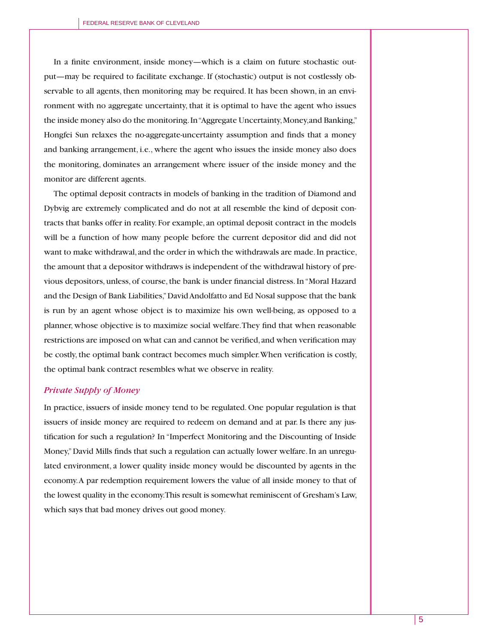In a finite environment, inside money—which is a claim on future stochastic output—may be required to facilitate exchange. If (stochastic) output is not costlessly observable to all agents, then monitoring may be required. It has been shown, in an environment with no aggregate uncertainty, that it is optimal to have the agent who issues the inside money also do the monitoring. In "Aggregate Uncertainty, Money,and Banking," Hongfei Sun relaxes the no-aggregate-uncertainty assumption and finds that a money and banking arrangement, i.e., where the agent who issues the inside money also does the monitoring, dominates an arrangement where issuer of the inside money and the monitor are different agents.

The optimal deposit contracts in models of banking in the tradition of Diamond and Dybvig are extremely complicated and do not at all resemble the kind of deposit contracts that banks offer in reality. For example, an optimal deposit contract in the models will be a function of how many people before the current depositor did and did not want to make withdrawal, and the order in which the withdrawals are made. In practice, the amount that a depositor withdraws is independent of the withdrawal history of previous depositors, unless, of course, the bank is under financial distress. In "Moral Hazard and the Design of Bank Liabilities," David Andolfatto and Ed Nosal suppose that the bank is run by an agent whose object is to maximize his own well-being, as opposed to a planner, whose objective is to maximize social welfare. They find that when reasonable restrictions are imposed on what can and cannot be verified, and when verification may be costly, the optimal bank contract becomes much simpler. When verification is costly, the optimal bank contract resembles what we observe in reality.

## *Private Supply of Money*

In practice, issuers of inside money tend to be regulated. One popular regulation is that issuers of inside money are required to redeem on demand and at par. Is there any justification for such a regulation? In "Imperfect Monitoring and the Discounting of Inside Money," David Mills finds that such a regulation can actually lower welfare. In an unregulated environment, a lower quality inside money would be discounted by agents in the economy. A par redemption requirement lowers the value of all inside money to that of the lowest quality in the economy. This result is somewhat reminiscent of Gresham's Law, which says that bad money drives out good money.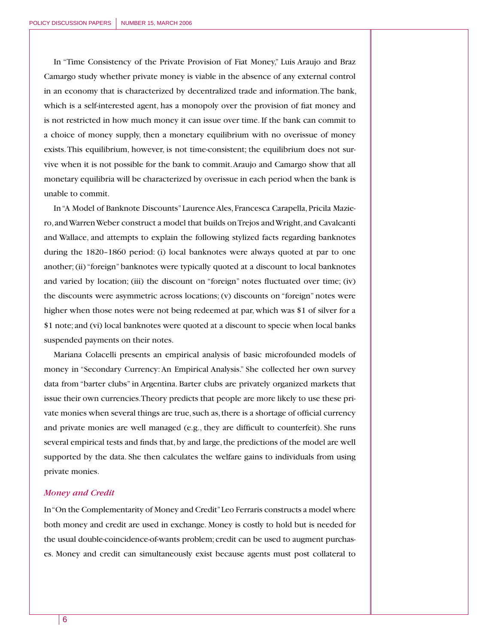In "Time Consistency of the Private Provision of Fiat Money," Luis Araujo and Braz Camargo study whether private money is viable in the absence of any external control in an economy that is characterized by decentralized trade and information. The bank, which is a self-interested agent, has a monopoly over the provision of fiat money and is not restricted in how much money it can issue over time. If the bank can commit to a choice of money supply, then a monetary equilibrium with no overissue of money exists. This equilibrium, however, is not time-consistent; the equilibrium does not survive when it is not possible for the bank to commit. Araujo and Camargo show that all monetary equilibria will be characterized by overissue in each period when the bank is unable to commit.

In "A Model of Banknote Discounts" Laurence Ales, Francesca Carapella, Pricila Maziero, and Warren Weber construct a model that builds on Trejos and Wright, and Cavalcanti and Wallace, and attempts to explain the following stylized facts regarding banknotes during the 1820–1860 period: (i) local banknotes were always quoted at par to one another; (ii) "foreign" banknotes were typically quoted at a discount to local banknotes and varied by location; (iii) the discount on "foreign" notes fluctuated over time; (iv) the discounts were asymmetric across locations; (v) discounts on "foreign" notes were higher when those notes were not being redeemed at par, which was \$1 of silver for a \$1 note; and (vi) local banknotes were quoted at a discount to specie when local banks suspended payments on their notes.

Mariana Colacelli presents an empirical analysis of basic microfounded models of money in "Secondary Currency: An Empirical Analysis." She collected her own survey data from "barter clubs" in Argentina. Barter clubs are privately organized markets that issue their own currencies. Theory predicts that people are more likely to use these private monies when several things are true, such as, there is a shortage of official currency and private monies are well managed  $(e.g., they are difficult to counterf eit).$  She runs several empirical tests and finds that, by and large, the predictions of the model are well supported by the data. She then calculates the welfare gains to individuals from using private monies.

#### *Money and Credit*

In "On the Complementarity of Money and Credit" Leo Ferraris constructs a model where both money and credit are used in exchange. Money is costly to hold but is needed for the usual double-coincidence-of-wants problem; credit can be used to augment purchases. Money and credit can simultaneously exist because agents must post collateral to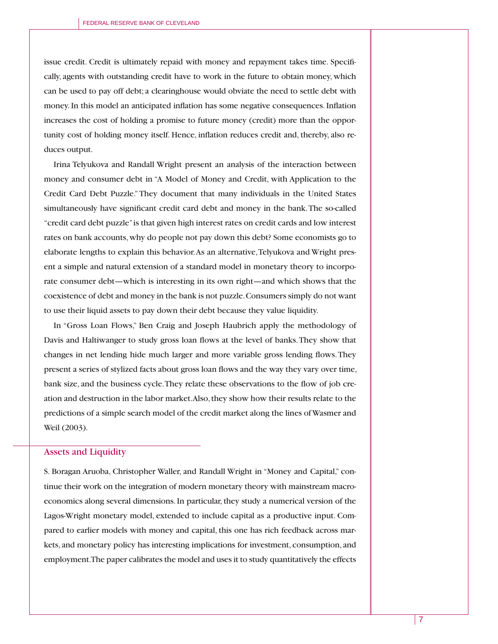issue credit. Credit is ultimately repaid with money and repayment takes time. Specifically, agents with outstanding credit have to work in the future to obtain money, which can be used to pay off debt; a clearinghouse would obviate the need to settle debt with money. In this model an anticipated inflation has some negative consequences. Inflation increases the cost of holding a promise to future money (credit) more than the opportunity cost of holding money itself. Hence, inflation reduces credit and, thereby, also reduces output.

Irina Telyukova and Randall Wright present an analysis of the interaction between money and consumer debt in "A Model of Money and Credit, with Application to the Credit Card Debt Puzzle." They document that many individuals in the United States simultaneously have significant credit card debt and money in the bank. The so-called "credit card debt puzzle" is that given high interest rates on credit cards and low interest rates on bank accounts, why do people not pay down this debt? Some economists go to elaborate lengths to explain this behavior. As an alternative, Telyukova and Wright present a simple and natural extension of a standard model in monetary theory to incorporate consumer debt—which is interesting in its own right—and which shows that the coexistence of debt and money in the bank is not puzzle. Consumers simply do not want to use their liquid assets to pay down their debt because they value liquidity.

In "Gross Loan Flows," Ben Craig and Joseph Haubrich apply the methodology of Davis and Haltiwanger to study gross loan flows at the level of banks. They show that changes in net lending hide much larger and more variable gross lending flows. They present a series of stylized facts about gross loan flows and the way they vary over time, bank size, and the business cycle. They relate these observations to the flow of job creation and destruction in the labor market. Also, they show how their results relate to the predictions of a simple search model of the credit market along the lines of Wasmer and Weil (2003).

#### Assets and Liquidity

S. Boragan Aruoba, Christopher Waller, and Randall Wright in "Money and Capital," continue their work on the integration of modern monetary theory with mainstream macroeconomics along several dimensions. In particular, they study a numerical version of the Lagos-Wright monetary model, extended to include capital as a productive input. Compared to earlier models with money and capital, this one has rich feedback across markets, and monetary policy has interesting implications for investment, consumption, and employment. The paper calibrates the model and uses it to study quantitatively the effects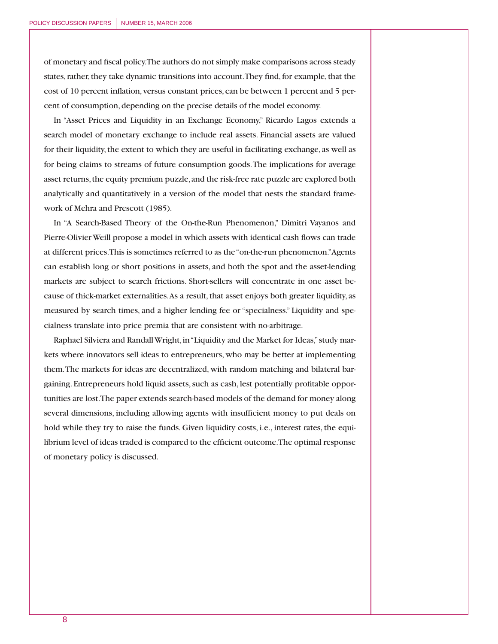of monetary and fiscal policy. The authors do not simply make comparisons across steady states, rather, they take dynamic transitions into account. They find, for example, that the cost of 10 percent inflation, versus constant prices, can be between 1 percent and 5 percent of consumption, depending on the precise details of the model economy.

In "Asset Prices and Liquidity in an Exchange Economy," Ricardo Lagos extends a search model of monetary exchange to include real assets. Financial assets are valued for their liquidity, the extent to which they are useful in facilitating exchange, as well as for being claims to streams of future consumption goods. The implications for average asset returns, the equity premium puzzle, and the risk-free rate puzzle are explored both analytically and quantitatively in a version of the model that nests the standard framework of Mehra and Prescott (1985).

In "A Search-Based Theory of the On-the-Run Phenomenon," Dimitri Vayanos and Pierre-Olivier Weill propose a model in which assets with identical cash flows can trade at different prices. This is sometimes referred to as the "on-the-run phenomenon." Agents can establish long or short positions in assets, and both the spot and the asset-lending markets are subject to search frictions. Short-sellers will concentrate in one asset because of thick-market externalities. As a result, that asset enjoys both greater liquidity, as measured by search times, and a higher lending fee or "specialness." Liquidity and specialness translate into price premia that are consistent with no-arbitrage.

Raphael Silviera and Randall Wright, in "Liquidity and the Market for Ideas," study markets where innovators sell ideas to entrepreneurs, who may be better at implementing them. The markets for ideas are decentralized, with random matching and bilateral bargaining. Entrepreneurs hold liquid assets, such as cash, lest potentially profitable opportunities are lost. The paper extends search-based models of the demand for money along several dimensions, including allowing agents with insufficient money to put deals on hold while they try to raise the funds. Given liquidity costs, i.e., interest rates, the equilibrium level of ideas traded is compared to the efficient outcome. The optimal response of monetary policy is discussed.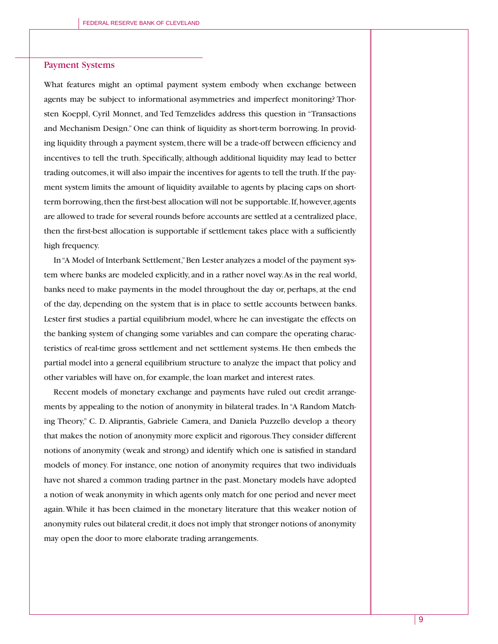### Payment Systems

What features might an optimal payment system embody when exchange between agents may be subject to informational asymmetries and imperfect monitoring? Thorsten Koeppl, Cyril Monnet, and Ted Temzelides address this question in "Transactions and Mechanism Design." One can think of liquidity as short-term borrowing. In providing liquidity through a payment system, there will be a trade-off between efficiency and incentives to tell the truth. Specifically, although additional liquidity may lead to better trading outcomes, it will also impair the incentives for agents to tell the truth. If the payment system limits the amount of liquidity available to agents by placing caps on shortterm borrowing, then the first-best allocation will not be supportable. If, however, agents are allowed to trade for several rounds before accounts are settled at a centralized place, then the first-best allocation is supportable if settlement takes place with a sufficiently high frequency.

In "A Model of Interbank Settlement," Ben Lester analyzes a model of the payment system where banks are modeled explicitly, and in a rather novel way. As in the real world, banks need to make payments in the model throughout the day or, perhaps, at the end of the day, depending on the system that is in place to settle accounts between banks. Lester first studies a partial equilibrium model, where he can investigate the effects on the banking system of changing some variables and can compare the operating characteristics of real-time gross settlement and net settlement systems. He then embeds the partial model into a general equilibrium structure to analyze the impact that policy and other variables will have on, for example, the loan market and interest rates.

Recent models of monetary exchange and payments have ruled out credit arrangements by appealing to the notion of anonymity in bilateral trades. In "A Random Matching Theory," C. D. Aliprantis, Gabriele Camera, and Daniela Puzzello develop a theory that makes the notion of anonymity more explicit and rigorous. They consider different notions of anonymity (weak and strong) and identify which one is satisfied in standard models of money. For instance, one notion of anonymity requires that two individuals have not shared a common trading partner in the past. Monetary models have adopted a notion of weak anonymity in which agents only match for one period and never meet again. While it has been claimed in the monetary literature that this weaker notion of anonymity rules out bilateral credit, it does not imply that stronger notions of anonymity may open the door to more elaborate trading arrangements.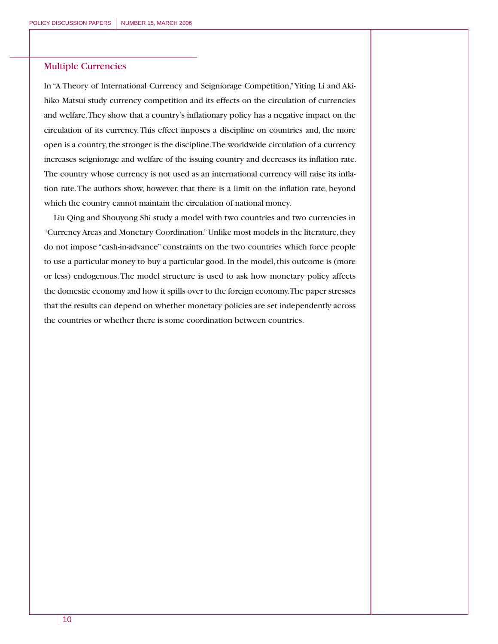# Multiple Currencies

In "A Theory of International Currency and Seigniorage Competition," Yiting Li and Akihiko Matsui study currency competition and its effects on the circulation of currencies and welfare. They show that a country's inflationary policy has a negative impact on the circulation of its currency. This effect imposes a discipline on countries and, the more open is a country, the stronger is the discipline. The worldwide circulation of a currency increases seigniorage and welfare of the issuing country and decreases its inflation rate. The country whose currency is not used as an international currency will raise its inflation rate. The authors show, however, that there is a limit on the inflation rate, beyond which the country cannot maintain the circulation of national money.

Liu Qing and Shouyong Shi study a model with two countries and two currencies in "Currency Areas and Monetary Coordination." Unlike most models in the literature, they do not impose "cash-in-advance" constraints on the two countries which force people to use a particular money to buy a particular good. In the model, this outcome is (more or less) endogenous. The model structure is used to ask how monetary policy affects the domestic economy and how it spills over to the foreign economy. The paper stresses that the results can depend on whether monetary policies are set independently across the countries or whether there is some coordination between countries.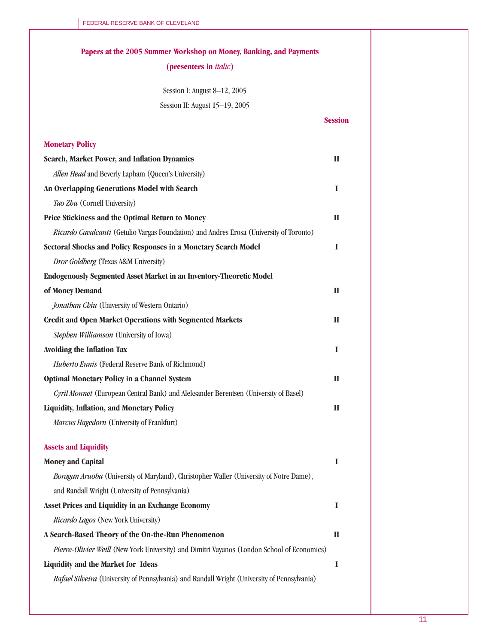| Papers at the 2005 Summer Workshop on Money, Banking, and Payments                           |                |
|----------------------------------------------------------------------------------------------|----------------|
| (presenters in <i>italic</i> )                                                               |                |
|                                                                                              |                |
| Session I: August 8-12, 2005<br>Session II: August 15-19, 2005                               |                |
|                                                                                              | <b>Session</b> |
|                                                                                              |                |
| <b>Monetary Policy</b>                                                                       |                |
| Search, Market Power, and Inflation Dynamics                                                 | $\mathbf{I}$   |
| Allen Head and Beverly Lapham (Queen's University)                                           |                |
| An Overlapping Generations Model with Search                                                 | I              |
| Tao Zhu (Cornell University)                                                                 |                |
| Price Stickiness and the Optimal Return to Money                                             | $\mathbf{I}$   |
| Ricardo Cavalcanti (Getulio Vargas Foundation) and Andres Erosa (University of Toronto)      |                |
| Sectoral Shocks and Policy Responses in a Monetary Search Model                              | I              |
| Dror Goldberg (Texas A&M University)                                                         |                |
| <b>Endogenously Segmented Asset Market in an Inventory-Theoretic Model</b>                   |                |
| of Money Demand                                                                              | $\mathbf{I}$   |
| Jonathan Chiu (University of Western Ontario)                                                |                |
| <b>Credit and Open Market Operations with Segmented Markets</b>                              | $\mathbf{I}$   |
| Stephen Williamson (University of Iowa)                                                      |                |
| Avoiding the Inflation Tax                                                                   | I              |
| Huberto Ennis (Federal Reserve Bank of Richmond)                                             |                |
| <b>Optimal Monetary Policy in a Channel System</b>                                           | $\mathbf{I}$   |
| Cyril Monnet (European Central Bank) and Aleksander Berentsen (University of Basel)          |                |
| Liquidity, Inflation, and Monetary Policy                                                    | $\mathbf{I}$   |
| Marcus Hagedorn (University of Frankfurt)                                                    |                |
|                                                                                              |                |
| <b>Assets and Liquidity</b>                                                                  |                |
| <b>Money and Capital</b>                                                                     | I              |
| Boragan Aruoba (University of Maryland), Christopher Waller (University of Notre Dame),      |                |
| and Randall Wright (University of Pennsylvania)                                              |                |
| Asset Prices and Liquidity in an Exchange Economy                                            | I              |
| Ricardo Lagos (New York University)                                                          |                |
| A Search-Based Theory of the On-the-Run Phenomenon                                           | $\mathbf{I}$   |
| Pierre-Olivier Weill (New York University) and Dimitri Vayanos (London School of Economics)  |                |
| Liquidity and the Market for Ideas                                                           | I              |
| Rafael Silveira (University of Pennsylvania) and Randall Wright (University of Pennsylvania) |                |
|                                                                                              |                |